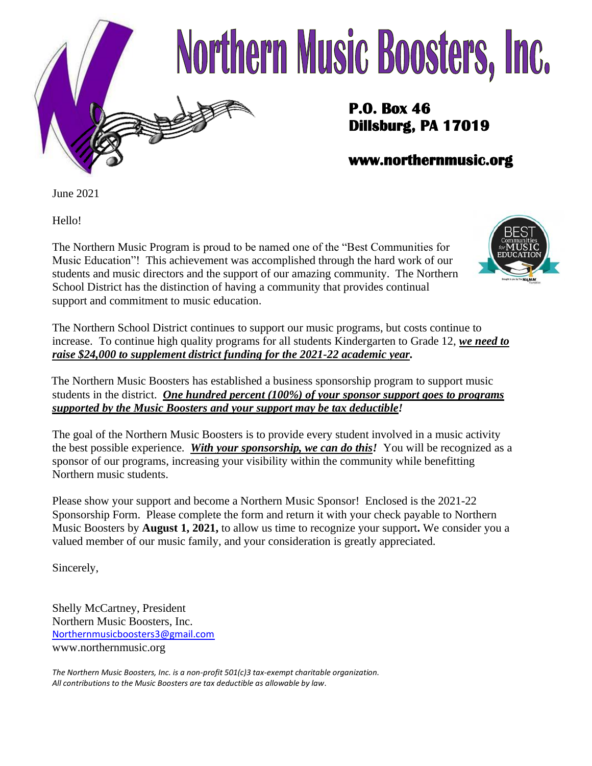

# Northern Music Boosters, Inc.

### **P.O. Box 46 Dillsburg, PA 17019**

### **www.northernmusic.org**

June 2021

Hello!

The Northern Music Program is proud to be named one of the "Best Communities for Music Education"! This achievement was accomplished through the hard work of our students and music directors and the support of our amazing community. The Northern School District has the distinction of having a community that provides continual support and commitment to music education.



The Northern School District continues to support our music programs, but costs continue to increase. To continue high quality programs for all students Kindergarten to Grade 12, *we need to raise \$24,000 to supplement district funding for the 2021-22 academic year.*

The Northern Music Boosters has established a business sponsorship program to support music students in the district. *One hundred percent (100%) of your sponsor support goes to programs supported by the Music Boosters and your support may be tax deductible!*

The goal of the Northern Music Boosters is to provide every student involved in a music activity the best possible experience. *With your sponsorship, we can do this!* You will be recognized as a sponsor of our programs, increasing your visibility within the community while benefitting Northern music students.

Please show your support and become a Northern Music Sponsor! Enclosed is the 2021-22 Sponsorship Form. Please complete the form and return it with your check payable to Northern Music Boosters by **August 1, 2021,** to allow us time to recognize your support**.** We consider you a valued member of our music family, and your consideration is greatly appreciated.

Sincerely,

Shelly McCartney, President Northern Music Boosters, Inc. [Northernmusicboosters3@gmail.com](mailto:Northernmusicboosters3@gmail.com) www.northernmusic.org

*The Northern Music Boosters, Inc. is a non-profit 501(c)3 tax-exempt charitable organization. All contributions to the Music Boosters are tax deductible as allowable by law.*